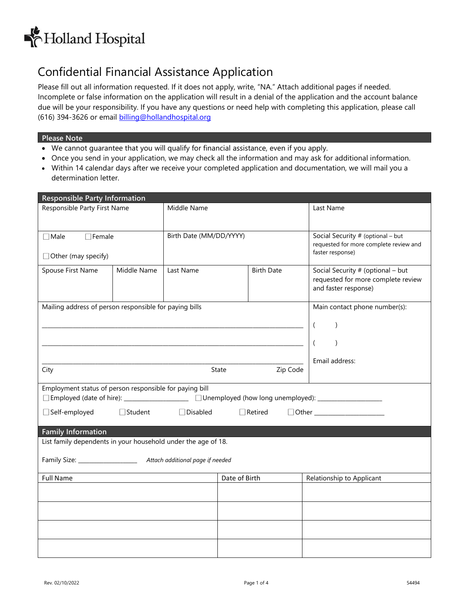

## Confidential Financial Assistance Application

Please fill out all information requested. If it does not apply, write, "NA." Attach additional pages if needed. Incomplete or false information on the application will result in a denial of the application and the account balance due will be your responsibility. If you have any questions or need help with completing this application, please call (616) 394-3626 or email [billing@hollandhospital.org](mailto:billing@hollandhospital.org)

#### **Please Note**

- We cannot guarantee that you will qualify for financial assistance, even if you apply.
- Once you send in your application, we may check all the information and may ask for additional information.
- Within 14 calendar days after we receive your completed application and documentation, we will mail you a determination letter.

| <b>Responsible Party Information</b>                          |             |                           |                         |                   |                                                                                                      |
|---------------------------------------------------------------|-------------|---------------------------|-------------------------|-------------------|------------------------------------------------------------------------------------------------------|
| Responsible Party First Name                                  |             | Middle Name               |                         |                   | Last Name                                                                                            |
|                                                               |             |                           |                         |                   |                                                                                                      |
| $\Box$ Female<br>$\Box$ Male                                  |             |                           | Birth Date (MM/DD/YYYY) |                   | Social Security # (optional - but                                                                    |
|                                                               |             |                           |                         |                   | requested for more complete review and<br>faster response)                                           |
| $\Box$ Other (may specify)                                    |             |                           |                         |                   |                                                                                                      |
| Spouse First Name                                             | Middle Name | Last Name                 |                         | <b>Birth Date</b> | Social Security # (optional - but<br>requested for more complete review                              |
|                                                               |             |                           |                         |                   | and faster response)                                                                                 |
| Mailing address of person responsible for paying bills        |             |                           |                         |                   | Main contact phone number(s):                                                                        |
|                                                               |             |                           |                         |                   |                                                                                                      |
|                                                               |             |                           |                         |                   | $\left($<br>$\lambda$                                                                                |
|                                                               |             |                           |                         |                   | $\left($<br>$\lambda$                                                                                |
|                                                               |             |                           |                         |                   | Email address:                                                                                       |
| City                                                          |             |                           | State                   | Zip Code          |                                                                                                      |
| Employment status of person responsible for paying bill       |             |                           |                         |                   |                                                                                                      |
|                                                               |             |                           |                         |                   | □Employed (date of hire): _______________________ □Unemployed (how long unemployed): _______________ |
| Self-employed<br>□ Student<br>Disabled<br>$\Box$ Retired      |             |                           |                         |                   |                                                                                                      |
|                                                               |             |                           |                         |                   |                                                                                                      |
| <b>Family Information</b>                                     |             |                           |                         |                   |                                                                                                      |
| List family dependents in your household under the age of 18. |             |                           |                         |                   |                                                                                                      |
|                                                               |             |                           |                         |                   |                                                                                                      |
| Date of Birth<br><b>Full Name</b>                             |             | Relationship to Applicant |                         |                   |                                                                                                      |
|                                                               |             |                           |                         |                   |                                                                                                      |
|                                                               |             |                           |                         |                   |                                                                                                      |
|                                                               |             |                           |                         |                   |                                                                                                      |
|                                                               |             |                           |                         |                   |                                                                                                      |
|                                                               |             |                           |                         |                   |                                                                                                      |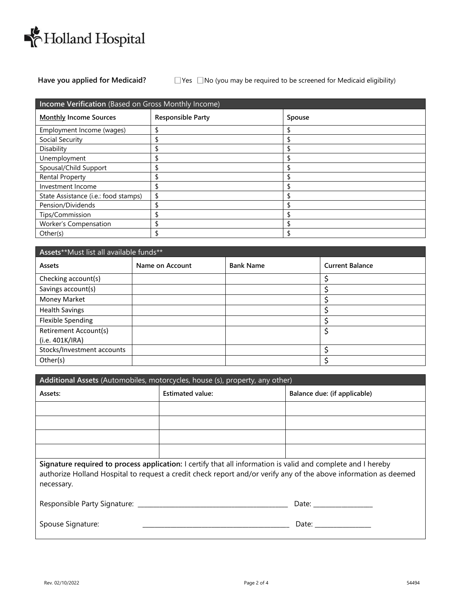

### **Have you applied for Medicaid?** Yes No (you may be required to be screened for Medicaid eligibility)

| Income Verification (Based on Gross Monthly Income) |                          |        |  |
|-----------------------------------------------------|--------------------------|--------|--|
| <b>Monthly Income Sources</b>                       | <b>Responsible Party</b> | Spouse |  |
| Employment Income (wages)                           |                          |        |  |
| Social Security                                     |                          |        |  |
| Disability                                          |                          |        |  |
| Unemployment                                        |                          |        |  |
| Spousal/Child Support                               |                          |        |  |
| <b>Rental Property</b>                              |                          |        |  |
| Investment Income                                   |                          |        |  |
| State Assistance (i.e.: food stamps)                |                          |        |  |
| Pension/Dividends                                   |                          |        |  |
| Tips/Commission                                     |                          |        |  |
| Worker's Compensation                               |                          |        |  |
| Other(s)                                            |                          |        |  |

| Assets**Must list all available funds** |                 |                  |                        |  |
|-----------------------------------------|-----------------|------------------|------------------------|--|
| Assets                                  | Name on Account | <b>Bank Name</b> | <b>Current Balance</b> |  |
| Checking account(s)                     |                 |                  |                        |  |
| Savings account(s)                      |                 |                  |                        |  |
| <b>Money Market</b>                     |                 |                  |                        |  |
| <b>Health Savings</b>                   |                 |                  |                        |  |
| <b>Flexible Spending</b>                |                 |                  |                        |  |
| <b>Retirement Account(s)</b>            |                 |                  |                        |  |
| (i.e. 401K/IRA)                         |                 |                  |                        |  |
| Stocks/Investment accounts              |                 |                  |                        |  |
| Other(s)                                |                 |                  |                        |  |

| Additional Assets (Automobiles, motorcycles, house (s), property, any other)                                                                                                                                                                   |                         |                              |  |
|------------------------------------------------------------------------------------------------------------------------------------------------------------------------------------------------------------------------------------------------|-------------------------|------------------------------|--|
| Assets:                                                                                                                                                                                                                                        | <b>Estimated value:</b> | Balance due: (if applicable) |  |
|                                                                                                                                                                                                                                                |                         |                              |  |
|                                                                                                                                                                                                                                                |                         |                              |  |
|                                                                                                                                                                                                                                                |                         |                              |  |
|                                                                                                                                                                                                                                                |                         |                              |  |
| Signature required to process application: I certify that all information is valid and complete and I hereby<br>authorize Holland Hospital to request a credit check report and/or verify any of the above information as deemed<br>necessary. |                         |                              |  |
|                                                                                                                                                                                                                                                |                         |                              |  |
| Spouse Signature:                                                                                                                                                                                                                              |                         |                              |  |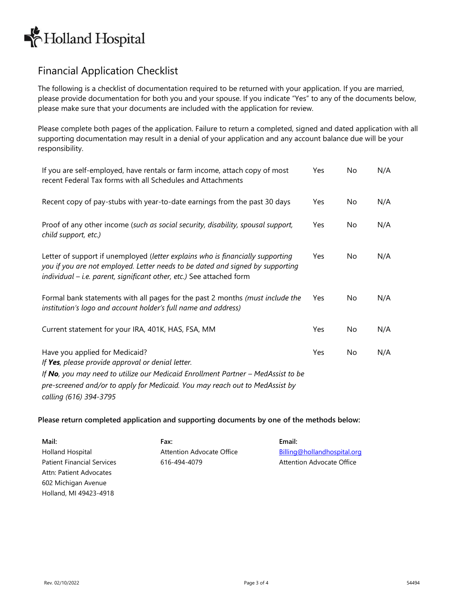# Holland Hospital

## Financial Application Checklist

The following is a checklist of documentation required to be returned with your application. If you are married, please provide documentation for both you and your spouse. If you indicate "Yes" to any of the documents below, please make sure that your documents are included with the application for review.

Please complete both pages of the application. Failure to return a completed, signed and dated application with all supporting documentation may result in a denial of your application and any account balance due will be your responsibility.

| If you are self-employed, have rentals or farm income, attach copy of most<br>recent Federal Tax forms with all Schedules and Attachments                                                                                                               | Yes                    | No  | N/A |
|---------------------------------------------------------------------------------------------------------------------------------------------------------------------------------------------------------------------------------------------------------|------------------------|-----|-----|
| Recent copy of pay-stubs with year-to-date earnings from the past 30 days                                                                                                                                                                               | Yes                    | No. | N/A |
| Proof of any other income (such as social security, disability, spousal support,<br>child support, etc.)                                                                                                                                                | Yes                    | No. | N/A |
| Letter of support if unemployed (letter explains who is financially supporting<br>you if you are not employed. Letter needs to be dated and signed by supporting<br>individual - i.e. parent, significant other, etc.) See attached form                | <b>Yes</b>             | No  | N/A |
| Formal bank statements with all pages for the past 2 months (must include the<br>institution's logo and account holder's full name and address)                                                                                                         | Yes                    | No  | N/A |
| Current statement for your IRA, 401K, HAS, FSA, MM                                                                                                                                                                                                      | Yes                    | No  | N/A |
| Have you applied for Medicaid?<br>If Yes, please provide approval or denial letter.<br>If No, you may need to utilize our Medicaid Enrollment Partner - MedAssist to be<br>pre-screened and/or to apply for Medicaid. You may reach out to MedAssist by | Yes                    | No  | N/A |
|                                                                                                                                                                                                                                                         | calling (616) 394-3795 |     |     |

### **Please return completed application and supporting documents by one of the methods below:**

| Mail:                             | Fax:                      | Email:                      |
|-----------------------------------|---------------------------|-----------------------------|
| Holland Hospital                  | Attention Advocate Office | Billing@hollandhospital.org |
| <b>Patient Financial Services</b> | 616-494-4079              | Attention Advocate Office   |
| Attn: Patient Advocates           |                           |                             |
| 602 Michigan Avenue               |                           |                             |
| Holland, MI 49423-4918            |                           |                             |